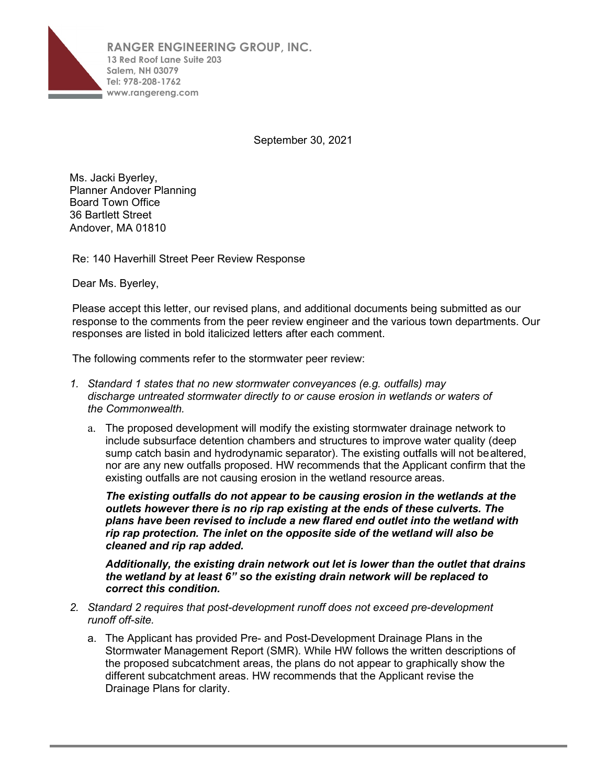

September 30, 2021

Ms. Jacki Byerley, Planner Andover Planning Board Town Office 36 Bartlett Street Andover, MA 01810

Re: 140 Haverhill Street Peer Review Response

Dear Ms. Byerley,

Please accept this letter, our revised plans, and additional documents being submitted as our response to the comments from the peer review engineer and the various town departments. Our responses are listed in bold italicized letters after each comment.

The following comments refer to the stormwater peer review:

- *1. Standard 1 states that no new stormwater conveyances (e.g. outfalls) may discharge untreated stormwater directly to or cause erosion in wetlands or waters of the Commonwealth.*
	- a. The proposed development will modify the existing stormwater drainage network to include subsurface detention chambers and structures to improve water quality (deep sump catch basin and hydrodynamic separator). The existing outfalls will not bealtered, nor are any new outfalls proposed. HW recommends that the Applicant confirm that the existing outfalls are not causing erosion in the wetland resource areas.

*The existing outfalls do not appear to be causing erosion in the wetlands at the outlets however there is no rip rap existing at the ends of these culverts. The plans have been revised to include a new flared end outlet into the wetland with rip rap protection. The inlet on the opposite side of the wetland will also be cleaned and rip rap added.*

*Additionally, the existing drain network out let is lower than the outlet that drains the wetland by at least 6" so the existing drain network will be replaced to correct this condition.*

- *2. Standard 2 requires that post-development runoff does not exceed pre-development runoff off-site.*
	- a. The Applicant has provided Pre- and Post-Development Drainage Plans in the Stormwater Management Report (SMR). While HW follows the written descriptions of the proposed subcatchment areas, the plans do not appear to graphically show the different subcatchment areas. HW recommends that the Applicant revise the Drainage Plans for clarity.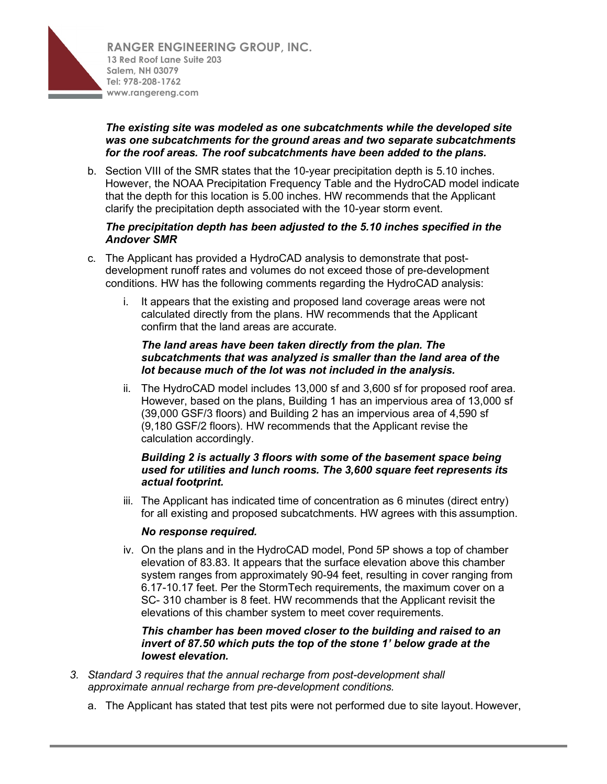

## *The existing site was modeled as one subcatchments while the developed site was one subcatchments for the ground areas and two separate subcatchments for the roof areas. The roof subcatchments have been added to the plans.*

b. Section VIII of the SMR states that the 10-year precipitation depth is 5.10 inches. However, the NOAA Precipitation Frequency Table and the HydroCAD model indicate that the depth for this location is 5.00 inches. HW recommends that the Applicant clarify the precipitation depth associated with the 10-year storm event.

#### *The precipitation depth has been adjusted to the 5.10 inches specified in the Andover SMR*

- c. The Applicant has provided a HydroCAD analysis to demonstrate that postdevelopment runoff rates and volumes do not exceed those of pre-development conditions. HW has the following comments regarding the HydroCAD analysis:
	- i. It appears that the existing and proposed land coverage areas were not calculated directly from the plans. HW recommends that the Applicant confirm that the land areas are accurate.

#### *The land areas have been taken directly from the plan. The subcatchments that was analyzed is smaller than the land area of the lot because much of the lot was not included in the analysis.*

ii. The HydroCAD model includes 13,000 sf and 3,600 sf for proposed roof area. However, based on the plans, Building 1 has an impervious area of 13,000 sf (39,000 GSF/3 floors) and Building 2 has an impervious area of 4,590 sf (9,180 GSF/2 floors). HW recommends that the Applicant revise the calculation accordingly.

## *Building 2 is actually 3 floors with some of the basement space being used for utilities and lunch rooms. The 3,600 square feet represents its actual footprint.*

iii. The Applicant has indicated time of concentration as 6 minutes (direct entry) for all existing and proposed subcatchments. HW agrees with this assumption.

## *No response required.*

iv. On the plans and in the HydroCAD model, Pond 5P shows a top of chamber elevation of 83.83. It appears that the surface elevation above this chamber system ranges from approximately 90-94 feet, resulting in cover ranging from 6.17-10.17 feet. Per the StormTech requirements, the maximum cover on a SC- 310 chamber is 8 feet. HW recommends that the Applicant revisit the elevations of this chamber system to meet cover requirements.

#### *This chamber has been moved closer to the building and raised to an invert of 87.50 which puts the top of the stone 1' below grade at the lowest elevation.*

- *3. Standard 3 requires that the annual recharge from post-development shall approximate annual recharge from pre-development conditions.*
	- a. The Applicant has stated that test pits were not performed due to site layout. However,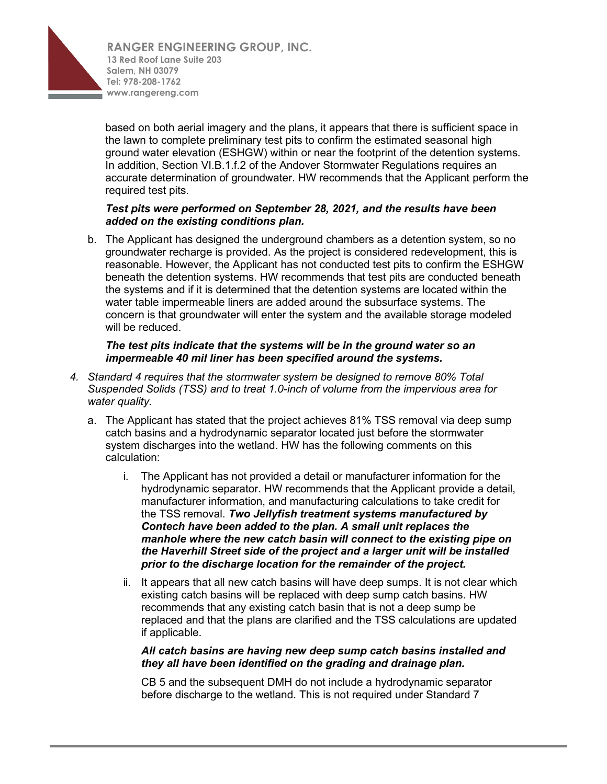

based on both aerial imagery and the plans, it appears that there is sufficient space in the lawn to complete preliminary test pits to confirm the estimated seasonal high ground water elevation (ESHGW) within or near the footprint of the detention systems. In addition, Section VI.B.1.f.2 of the Andover Stormwater Regulations requires an accurate determination of groundwater. HW recommends that the Applicant perform the required test pits.

## *Test pits were performed on September 28, 2021, and the results have been added on the existing conditions plan.*

b. The Applicant has designed the underground chambers as a detention system, so no groundwater recharge is provided. As the project is considered redevelopment, this is reasonable. However, the Applicant has not conducted test pits to confirm the ESHGW beneath the detention systems. HW recommends that test pits are conducted beneath the systems and if it is determined that the detention systems are located within the water table impermeable liners are added around the subsurface systems. The concern is that groundwater will enter the system and the available storage modeled will be reduced.

#### *The test pits indicate that the systems will be in the ground water so an impermeable 40 mil liner has been specified around the systems.*

- *4. Standard 4 requires that the stormwater system be designed to remove 80% Total Suspended Solids (TSS) and to treat 1.0-inch of volume from the impervious area for water quality.*
	- a. The Applicant has stated that the project achieves 81% TSS removal via deep sump catch basins and a hydrodynamic separator located just before the stormwater system discharges into the wetland. HW has the following comments on this calculation:
		- i. The Applicant has not provided a detail or manufacturer information for the hydrodynamic separator. HW recommends that the Applicant provide a detail, manufacturer information, and manufacturing calculations to take credit for the TSS removal. *Two Jellyfish treatment systems manufactured by Contech have been added to the plan. A small unit replaces the manhole where the new catch basin will connect to the existing pipe on the Haverhill Street side of the project and a larger unit will be installed prior to the discharge location for the remainder of the project.*
		- ii. It appears that all new catch basins will have deep sumps. It is not clear which existing catch basins will be replaced with deep sump catch basins. HW recommends that any existing catch basin that is not a deep sump be replaced and that the plans are clarified and the TSS calculations are updated if applicable.

## *All catch basins are having new deep sump catch basins installed and they all have been identified on the grading and drainage plan.*

CB 5 and the subsequent DMH do not include a hydrodynamic separator before discharge to the wetland. This is not required under Standard 7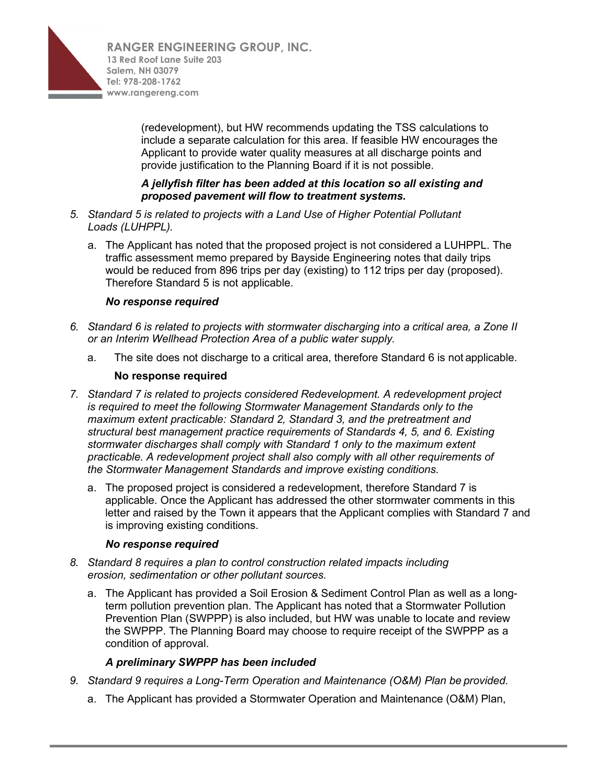

(redevelopment), but HW recommends updating the TSS calculations to include a separate calculation for this area. If feasible HW encourages the Applicant to provide water quality measures at all discharge points and provide justification to the Planning Board if it is not possible.

## *A jellyfish filter has been added at this location so all existing and proposed pavement will flow to treatment systems.*

- *5. Standard 5 is related to projects with a Land Use of Higher Potential Pollutant Loads (LUHPPL).*
	- a. The Applicant has noted that the proposed project is not considered a LUHPPL. The traffic assessment memo prepared by Bayside Engineering notes that daily trips would be reduced from 896 trips per day (existing) to 112 trips per day (proposed). Therefore Standard 5 is not applicable.

## *No response required*

- *6. Standard 6 is related to projects with stormwater discharging into a critical area, a Zone II or an Interim Wellhead Protection Area of a public water supply.*
	- a. The site does not discharge to a critical area, therefore Standard 6 is not applicable.

## **No response required**

- *7. Standard 7 is related to projects considered Redevelopment. A redevelopment project is required to meet the following Stormwater Management Standards only to the maximum extent practicable: Standard 2, Standard 3, and the pretreatment and structural best management practice requirements of Standards 4, 5, and 6. Existing stormwater discharges shall comply with Standard 1 only to the maximum extent practicable. A redevelopment project shall also comply with all other requirements of the Stormwater Management Standards and improve existing conditions.*
	- a. The proposed project is considered a redevelopment, therefore Standard 7 is applicable. Once the Applicant has addressed the other stormwater comments in this letter and raised by the Town it appears that the Applicant complies with Standard 7 and is improving existing conditions.

## *No response required*

- *8. Standard 8 requires a plan to control construction related impacts including erosion, sedimentation or other pollutant sources.*
	- a. The Applicant has provided a Soil Erosion & Sediment Control Plan as well as a longterm pollution prevention plan. The Applicant has noted that a Stormwater Pollution Prevention Plan (SWPPP) is also included, but HW was unable to locate and review the SWPPP. The Planning Board may choose to require receipt of the SWPPP as a condition of approval.

## *A preliminary SWPPP has been included*

- *9. Standard 9 requires a Long-Term Operation and Maintenance (O&M) Plan be provided.*
	- a. The Applicant has provided a Stormwater Operation and Maintenance (O&M) Plan,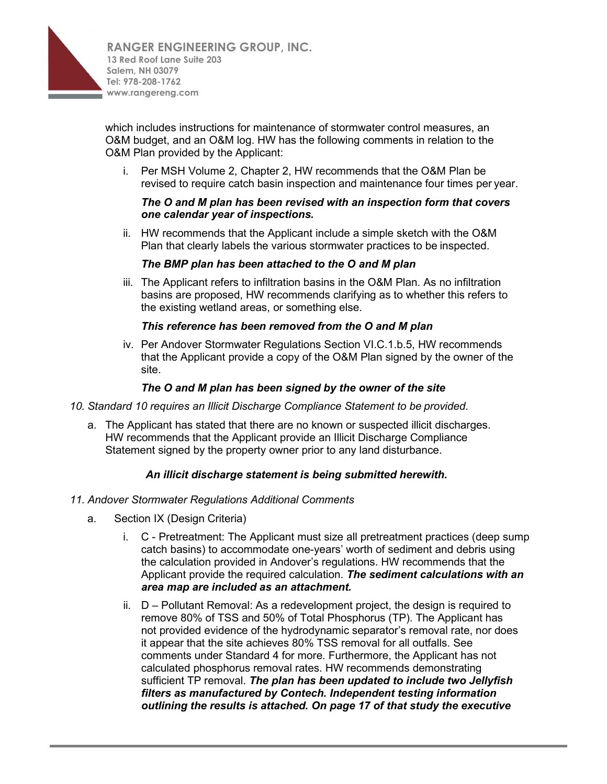

which includes instructions for maintenance of stormwater control measures, an O&M budget, and an O&M log. HW has the following comments in relation to the O&M Plan provided by the Applicant:

i. Per MSH Volume 2, Chapter 2, HW recommends that the O&M Plan be revised to require catch basin inspection and maintenance four times per year.

## *The O and M plan has been revised with an inspection form that covers one calendar year of inspections.*

ii. HW recommends that the Applicant include a simple sketch with the O&M Plan that clearly labels the various stormwater practices to be inspected.

## *The BMP plan has been attached to the O and M plan*

iii. The Applicant refers to infiltration basins in the O&M Plan. As no infiltration basins are proposed, HW recommends clarifying as to whether this refers to the existing wetland areas, or something else.

#### *This reference has been removed from the O and M plan*

iv. Per Andover Stormwater Regulations Section VI.C.1.b.5, HW recommends that the Applicant provide a copy of the O&M Plan signed by the owner of the site.

## *The O and M plan has been signed by the owner of the site*

- *10. Standard 10 requires an Illicit Discharge Compliance Statement to be provided.*
	- a. The Applicant has stated that there are no known or suspected illicit discharges. HW recommends that the Applicant provide an Illicit Discharge Compliance Statement signed by the property owner prior to any land disturbance.

## *An illicit discharge statement is being submitted herewith.*

- *11. Andover Stormwater Regulations Additional Comments*
	- a. Section IX (Design Criteria)
		- i. C Pretreatment: The Applicant must size all pretreatment practices (deep sump catch basins) to accommodate one-years' worth of sediment and debris using the calculation provided in Andover's regulations. HW recommends that the Applicant provide the required calculation. *The sediment calculations with an area map are included as an attachment.*
		- ii. D Pollutant Removal: As a redevelopment project, the design is required to remove 80% of TSS and 50% of Total Phosphorus (TP). The Applicant has not provided evidence of the hydrodynamic separator's removal rate, nor does it appear that the site achieves 80% TSS removal for all outfalls. See comments under Standard 4 for more. Furthermore, the Applicant has not calculated phosphorus removal rates. HW recommends demonstrating sufficient TP removal. *The plan has been updated to include two Jellyfish filters as manufactured by Contech. Independent testing information outlining the results is attached. On page 17 of that study the executive*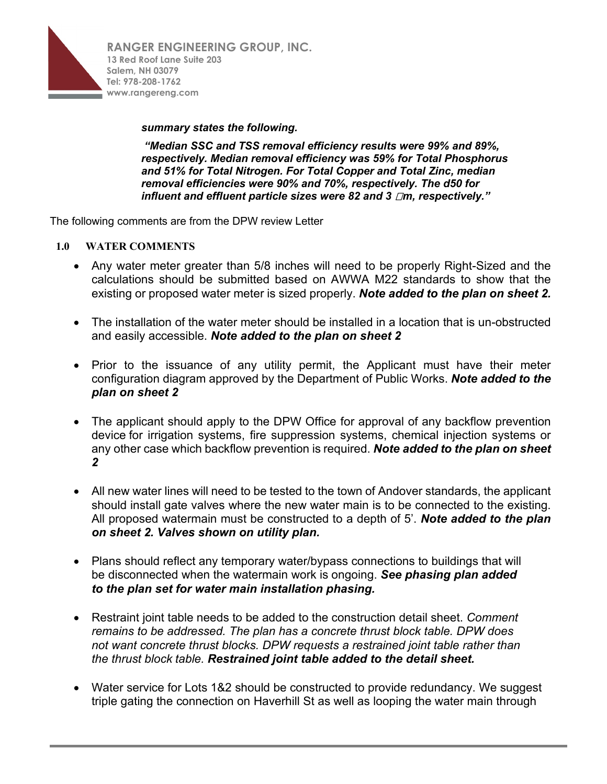

#### *summary states the following.*

*"Median SSC and TSS removal efficiency results were 99% and 89%, respectively. Median removal efficiency was 59% for Total Phosphorus and 51% for Total Nitrogen. For Total Copper and Total Zinc, median removal efficiencies were 90% and 70%, respectively. The d50 for influent and effluent particle sizes were 82 and 3 m, respectively."*

The following comments are from the DPW review Letter

#### **1.0 WATER COMMENTS**

- Any water meter greater than 5/8 inches will need to be properly Right-Sized and the calculations should be submitted based on AWWA M22 standards to show that the existing or proposed water meter is sized properly. *Note added to the plan on sheet 2.*
- The installation of the water meter should be installed in a location that is un-obstructed and easily accessible. *Note added to the plan on sheet 2*
- Prior to the issuance of any utility permit, the Applicant must have their meter configuration diagram approved by the Department of Public Works. *Note added to the plan on sheet 2*
- The applicant should apply to the DPW Office for approval of any backflow prevention device for irrigation systems, fire suppression systems, chemical injection systems or any other case which backflow prevention is required. *Note added to the plan on sheet 2*
- All new water lines will need to be tested to the town of Andover standards, the applicant should install gate valves where the new water main is to be connected to the existing. All proposed watermain must be constructed to a depth of 5'. *Note added to the plan on sheet 2. Valves shown on utility plan.*
- Plans should reflect any temporary water/bypass connections to buildings that will be disconnected when the watermain work is ongoing. *See phasing plan added to the plan set for water main installation phasing.*
- Restraint joint table needs to be added to the construction detail sheet. *Comment remains to be addressed. The plan has a concrete thrust block table. DPW does not want concrete thrust blocks. DPW requests a restrained joint table rather than the thrust block table. Restrained joint table added to the detail sheet.*
- Water service for Lots 1&2 should be constructed to provide redundancy. We suggest triple gating the connection on Haverhill St as well as looping the water main through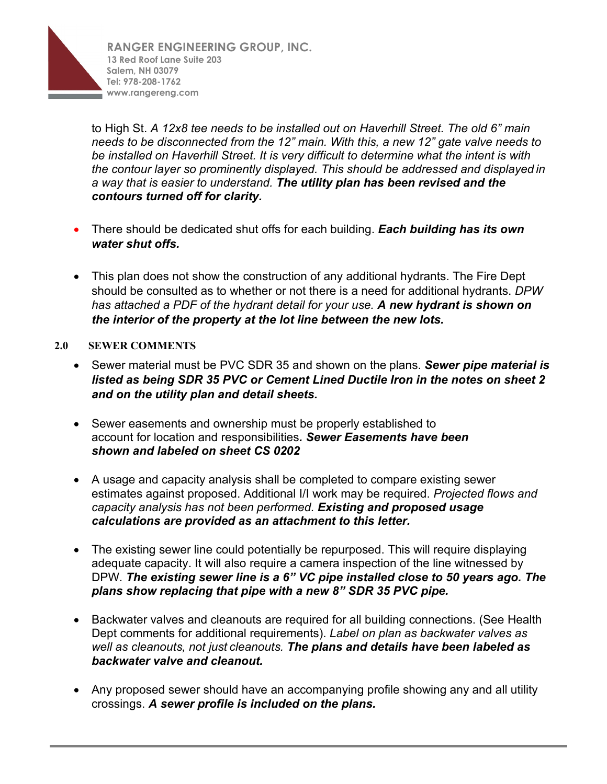

to High St. *A 12x8 tee needs to be installed out on Haverhill Street. The old 6" main needs to be disconnected from the 12" main. With this, a new 12" gate valve needs to be installed on Haverhill Street. It is very difficult to determine what the intent is with the contour layer so prominently displayed. This should be addressed and displayed in a way that is easier to understand. The utility plan has been revised and the contours turned off for clarity.*

- There should be dedicated shut offs for each building. *Each building has its own water shut offs.*
- This plan does not show the construction of any additional hydrants. The Fire Dept should be consulted as to whether or not there is a need for additional hydrants. *DPW has attached a PDF of the hydrant detail for your use. A new hydrant is shown on the interior of the property at the lot line between the new lots.*

## **2.0 SEWER COMMENTS**

- Sewer material must be PVC SDR 35 and shown on the plans. *Sewer pipe material is listed as being SDR 35 PVC or Cement Lined Ductile Iron in the notes on sheet 2 and on the utility plan and detail sheets.*
- Sewer easements and ownership must be properly established to account for location and responsibilities*. Sewer Easements have been shown and labeled on sheet CS 0202*
- A usage and capacity analysis shall be completed to compare existing sewer estimates against proposed. Additional I/I work may be required. *Projected flows and capacity analysis has not been performed. Existing and proposed usage calculations are provided as an attachment to this letter.*
- The existing sewer line could potentially be repurposed. This will require displaying adequate capacity. It will also require a camera inspection of the line witnessed by DPW. *The existing sewer line is a 6" VC pipe installed close to 50 years ago. The plans show replacing that pipe with a new 8" SDR 35 PVC pipe.*
- Backwater valves and cleanouts are required for all building connections. (See Health Dept comments for additional requirements). *Label on plan as backwater valves as well as cleanouts, not just cleanouts. The plans and details have been labeled as backwater valve and cleanout.*
- Any proposed sewer should have an accompanying profile showing any and all utility crossings. *A sewer profile is included on the plans.*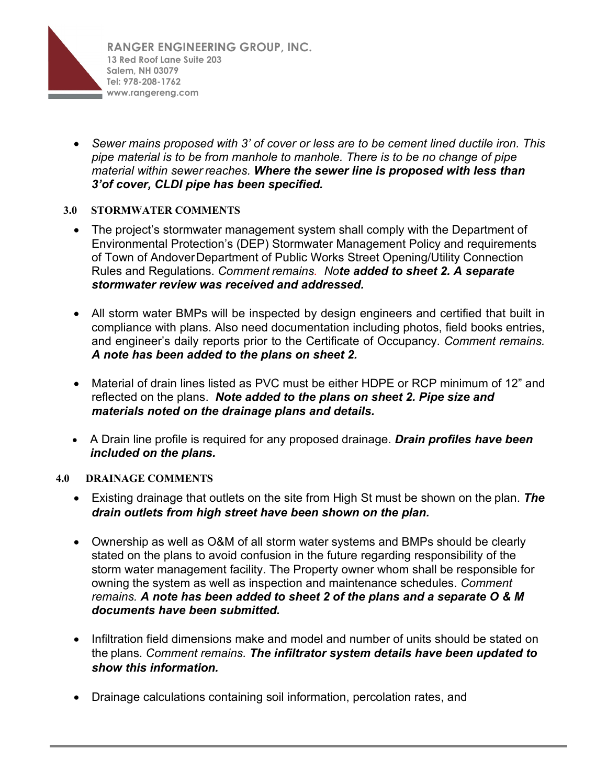

• *Sewer mains proposed with 3' of cover or less are to be cement lined ductile iron. This pipe material is to be from manhole to manhole. There is to be no change of pipe material within sewer reaches. Where the sewer line is proposed with less than 3'of cover, CLDI pipe has been specified.* 

## **3.0 STORMWATER COMMENTS**

- The project's stormwater management system shall comply with the Department of Environmental Protection's (DEP) Stormwater Management Policy and requirements of Town of AndoverDepartment of Public Works Street Opening/Utility Connection Rules and Regulations. *Comment remains. Note added to sheet 2. A separate stormwater review was received and addressed.*
- All storm water BMPs will be inspected by design engineers and certified that built in compliance with plans. Also need documentation including photos, field books entries, and engineer's daily reports prior to the Certificate of Occupancy. *Comment remains. A note has been added to the plans on sheet 2.*
- Material of drain lines listed as PVC must be either HDPE or RCP minimum of 12" and reflected on the plans. *Note added to the plans on sheet 2. Pipe size and materials noted on the drainage plans and details.*
- A Drain line profile is required for any proposed drainage. *Drain profiles have been included on the plans.*

## **4.0 DRAINAGE COMMENTS**

- Existing drainage that outlets on the site from High St must be shown on the plan. *The drain outlets from high street have been shown on the plan.*
- Ownership as well as O&M of all storm water systems and BMPs should be clearly stated on the plans to avoid confusion in the future regarding responsibility of the storm water management facility. The Property owner whom shall be responsible for owning the system as well as inspection and maintenance schedules. *Comment remains. A note has been added to sheet 2 of the plans and a separate O & M documents have been submitted.*
- Infiltration field dimensions make and model and number of units should be stated on the plans. *Comment remains. The infiltrator system details have been updated to show this information.*
- Drainage calculations containing soil information, percolation rates, and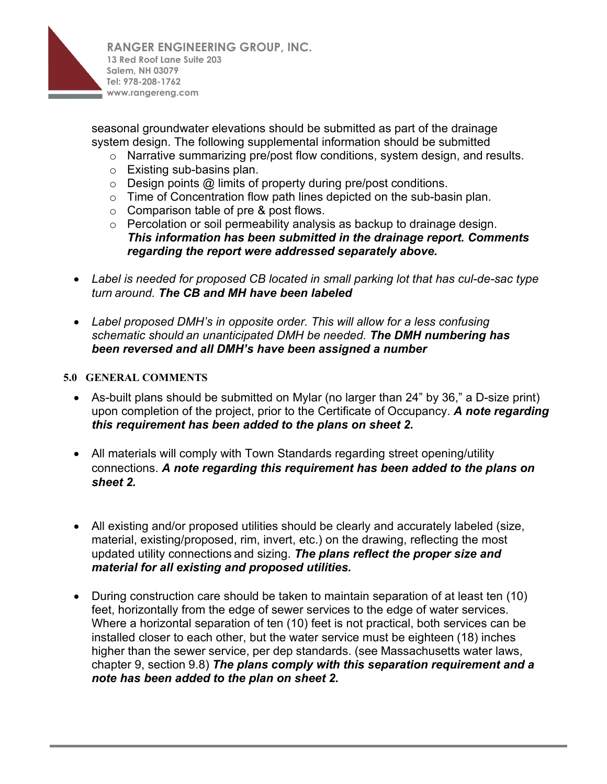

seasonal groundwater elevations should be submitted as part of the drainage system design. The following supplemental information should be submitted

- o Narrative summarizing pre/post flow conditions, system design, and results.
- o Existing sub-basins plan.
- $\circ$  Design points  $\omega$  limits of property during pre/post conditions.
- o Time of Concentration flow path lines depicted on the sub-basin plan.
- o Comparison table of pre & post flows.
- o Percolation or soil permeability analysis as backup to drainage design. *This information has been submitted in the drainage report. Comments regarding the report were addressed separately above.*
- *Label is needed for proposed CB located in small parking lot that has cul-de-sac type turn around. The CB and MH have been labeled*
- *Label proposed DMH's in opposite order. This will allow for a less confusing schematic should an unanticipated DMH be needed. The DMH numbering has been reversed and all DMH's have been assigned a number*

## **5.0 GENERAL COMMENTS**

- As-built plans should be submitted on Mylar (no larger than 24" by 36," a D-size print) upon completion of the project, prior to the Certificate of Occupancy. *A note regarding this requirement has been added to the plans on sheet 2.*
- All materials will comply with Town Standards regarding street opening/utility connections. *A note regarding this requirement has been added to the plans on sheet 2.*
- All existing and/or proposed utilities should be clearly and accurately labeled (size, material, existing/proposed, rim, invert, etc.) on the drawing, reflecting the most updated utility connections and sizing. *The plans reflect the proper size and material for all existing and proposed utilities.*
- During construction care should be taken to maintain separation of at least ten (10) feet, horizontally from the edge of sewer services to the edge of water services. Where a horizontal separation of ten (10) feet is not practical, both services can be installed closer to each other, but the water service must be eighteen (18) inches higher than the sewer service, per dep standards. (see Massachusetts water laws, chapter 9, section 9.8) *The plans comply with this separation requirement and a note has been added to the plan on sheet 2.*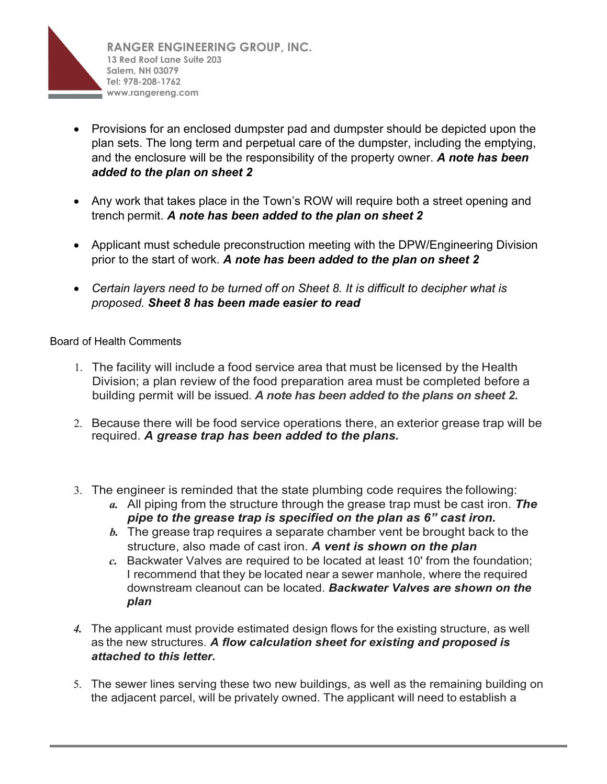

- Provisions for an enclosed dumpster pad and dumpster should be depicted upon the plan sets. The long term and perpetual care of the dumpster, including the emptying, and the enclosure will be the responsibility of the property owner. *A note has been added to the plan on sheet 2*
- Any work that takes place in the Town's ROW will require both a street opening and trench permit. *A note has been added to the plan on sheet 2*
- Applicant must schedule preconstruction meeting with the DPW/Engineering Division prior to the start of work. *A note has been added to the plan on sheet 2*
- *Certain layers need to be turned off on Sheet 8. It is difficult to decipher what is proposed. Sheet 8 has been made easier to read*

## Board of Health Comments

- 1. The facility will include a food service area that must be licensed by the Health Division; a plan review of the food preparation area must be completed before a building permit will be issued. *A note has been added to the plans on sheet 2.*
- 2. Because there will be food service operations there, an exterior grease trap will be required. *A grease trap has been added to the plans.*
- 3. The engineer is reminded that the state plumbing code requires the following:
	- *a.* All piping from the structure through the grease trap must be cast iron. *The pipe to the grease trap is specified on the plan as 6" cast iron.*
	- *b.* The grease trap requires a separate chamber vent be brought back to the structure, also made of cast iron. *A vent is shown on the plan*
	- *c.* Backwater Valves are required to be located at least 10' from the foundation; I recommend that they be located near a sewer manhole, where the required downstream cleanout can be located. *Backwater Valves are shown on the plan*
- *4.* The applicant must provide estimated design flows for the existing structure, as well as the new structures. *A flow calculation sheet for existing and proposed is attached to this letter.*
- 5. The sewer lines serving these two new buildings, as well as the remaining building on the adjacent parcel, will be privately owned. The applicant will need to establish a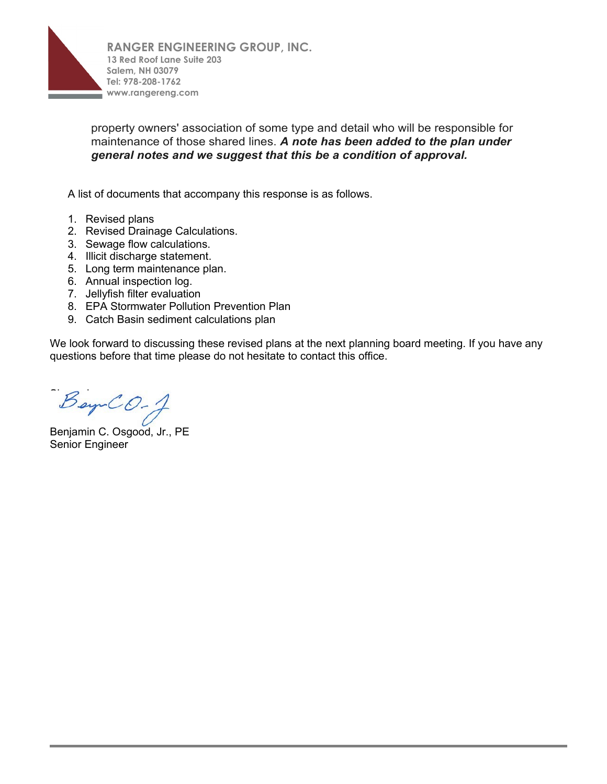

property owners' association of some type and detail who will be responsible for maintenance of those shared lines. *A note has been added to the plan under general notes and we suggest that this be a condition of approval.*

A list of documents that accompany this response is as follows.

- 1. Revised plans
- 2. Revised Drainage Calculations.
- 3. Sewage flow calculations.
- 4. Illicit discharge statement.
- 5. Long term maintenance plan.
- 6. Annual inspection log.
- 7. Jellyfish filter evaluation
- 8. EPA Stormwater Pollution Prevention Plan
- 9. Catch Basin sediment calculations plan

We look forward to discussing these revised plans at the next planning board meeting. If you have any questions before that time please do not hesitate to contact this office.

 $B$ ay  $CO-1$ 

Benjamin C. Osgood, Jr., PE Senior Engineer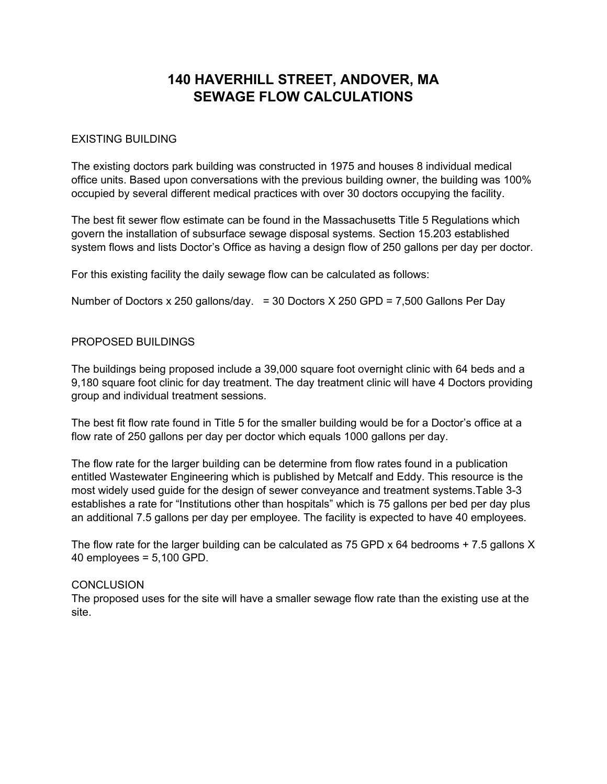# **140 HAVERHILL STREET, ANDOVER, MA SEWAGE FLOW CALCULATIONS**

## EXISTING BUILDING

The existing doctors park building was constructed in 1975 and houses 8 individual medical office units. Based upon conversations with the previous building owner, the building was 100% occupied by several different medical practices with over 30 doctors occupying the facility.

The best fit sewer flow estimate can be found in the Massachusetts Title 5 Regulations which govern the installation of subsurface sewage disposal systems. Section 15.203 established system flows and lists Doctor's Office as having a design flow of 250 gallons per day per doctor.

For this existing facility the daily sewage flow can be calculated as follows:

Number of Doctors x 250 gallons/day. = 30 Doctors X 250 GPD = 7,500 Gallons Per Day

#### PROPOSED BUILDINGS

The buildings being proposed include a 39,000 square foot overnight clinic with 64 beds and a 9,180 square foot clinic for day treatment. The day treatment clinic will have 4 Doctors providing group and individual treatment sessions.

The best fit flow rate found in Title 5 for the smaller building would be for a Doctor's office at a flow rate of 250 gallons per day per doctor which equals 1000 gallons per day.

The flow rate for the larger building can be determine from flow rates found in a publication entitled Wastewater Engineering which is published by Metcalf and Eddy. This resource is the most widely used guide for the design of sewer conveyance and treatment systems.Table 3-3 establishes a rate for "Institutions other than hospitals" which is 75 gallons per bed per day plus an additional 7.5 gallons per day per employee. The facility is expected to have 40 employees.

The flow rate for the larger building can be calculated as 75 GPD  $\times$  64 bedrooms + 7.5 gallons X 40 employees = 5,100 GPD.

## **CONCLUSION**

The proposed uses for the site will have a smaller sewage flow rate than the existing use at the site.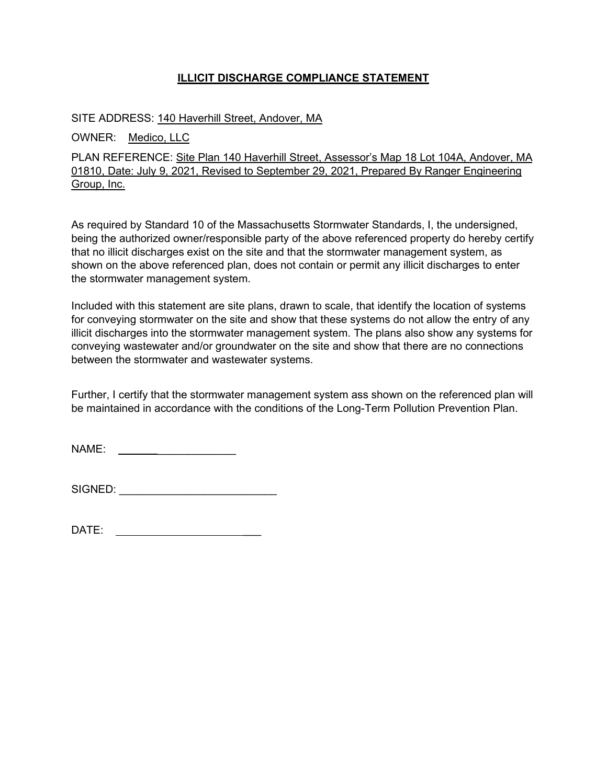## **ILLICIT DISCHARGE COMPLIANCE STATEMENT**

SITE ADDRESS: 140 Haverhill Street, Andover, MA

OWNER: Medico, LLC

PLAN REFERENCE: Site Plan 140 Haverhill Street, Assessor's Map 18 Lot 104A, Andover, MA 01810, Date: July 9, 2021, Revised to September 29, 2021, Prepared By Ranger Engineering Group, Inc.

As required by Standard 10 of the Massachusetts Stormwater Standards, I, the undersigned, being the authorized owner/responsible party of the above referenced property do hereby certify that no illicit discharges exist on the site and that the stormwater management system, as shown on the above referenced plan, does not contain or permit any illicit discharges to enter the stormwater management system.

Included with this statement are site plans, drawn to scale, that identify the location of systems for conveying stormwater on the site and show that these systems do not allow the entry of any illicit discharges into the stormwater management system. The plans also show any systems for conveying wastewater and/or groundwater on the site and show that there are no connections between the stormwater and wastewater systems.

Further, I certify that the stormwater management system ass shown on the referenced plan will be maintained in accordance with the conditions of the Long-Term Pollution Prevention Plan.

NAME: \_\_\_\_\_\_\_\_\_\_\_\_\_

SIGNED: \_\_\_\_\_\_\_\_\_\_\_\_\_\_\_\_\_\_\_\_\_\_\_\_\_\_

 $DATE:$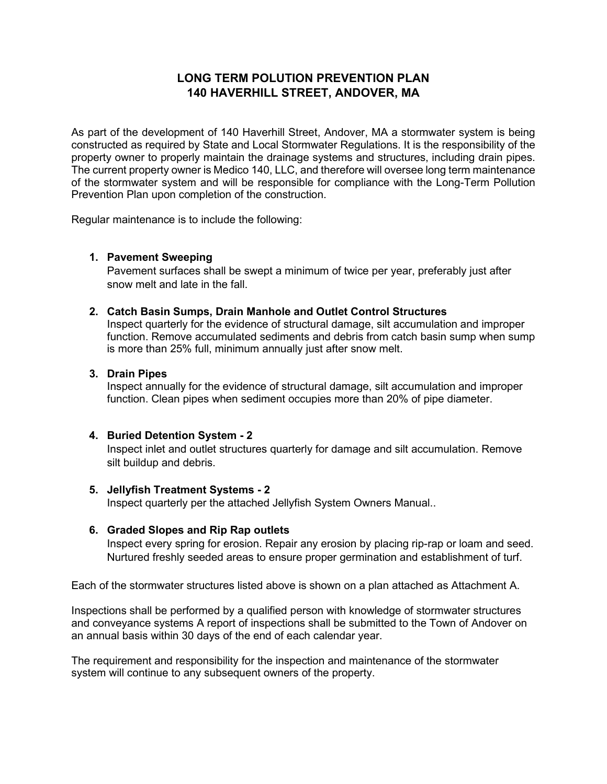# **LONG TERM POLUTION PREVENTION PLAN 140 HAVERHILL STREET, ANDOVER, MA**

As part of the development of 140 Haverhill Street, Andover, MA a stormwater system is being constructed as required by State and Local Stormwater Regulations. It is the responsibility of the property owner to properly maintain the drainage systems and structures, including drain pipes. The current property owner is Medico 140, LLC, and therefore will oversee long term maintenance of the stormwater system and will be responsible for compliance with the Long-Term Pollution Prevention Plan upon completion of the construction.

Regular maintenance is to include the following:

## **1. Pavement Sweeping**

Pavement surfaces shall be swept a minimum of twice per year, preferably just after snow melt and late in the fall.

#### **2. Catch Basin Sumps, Drain Manhole and Outlet Control Structures**

Inspect quarterly for the evidence of structural damage, silt accumulation and improper function. Remove accumulated sediments and debris from catch basin sump when sump is more than 25% full, minimum annually just after snow melt.

## **3. Drain Pipes**

Inspect annually for the evidence of structural damage, silt accumulation and improper function. Clean pipes when sediment occupies more than 20% of pipe diameter.

## **4. Buried Detention System - 2**

Inspect inlet and outlet structures quarterly for damage and silt accumulation. Remove silt buildup and debris.

#### **5. Jellyfish Treatment Systems - 2**

Inspect quarterly per the attached Jellyfish System Owners Manual..

## **6. Graded Slopes and Rip Rap outlets**

Inspect every spring for erosion. Repair any erosion by placing rip-rap or loam and seed. Nurtured freshly seeded areas to ensure proper germination and establishment of turf.

Each of the stormwater structures listed above is shown on a plan attached as Attachment A.

Inspections shall be performed by a qualified person with knowledge of stormwater structures and conveyance systems A report of inspections shall be submitted to the Town of Andover on an annual basis within 30 days of the end of each calendar year.

The requirement and responsibility for the inspection and maintenance of the stormwater system will continue to any subsequent owners of the property.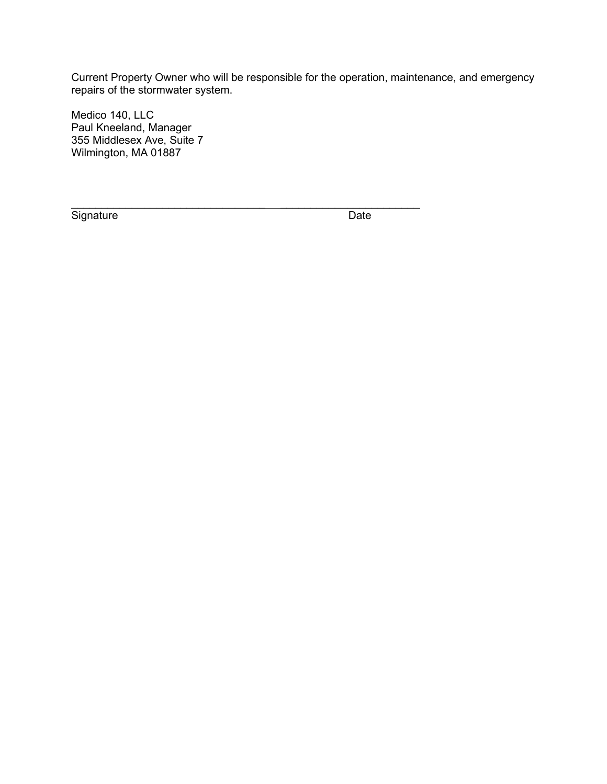Current Property Owner who will be responsible for the operation, maintenance, and emergency repairs of the stormwater system.

 $\mathcal{L}_\text{max} = \mathcal{L}_\text{max} = \mathcal{L}_\text{max} = \mathcal{L}_\text{max} = \mathcal{L}_\text{max} = \mathcal{L}_\text{max} = \mathcal{L}_\text{max} = \mathcal{L}_\text{max} = \mathcal{L}_\text{max} = \mathcal{L}_\text{max} = \mathcal{L}_\text{max} = \mathcal{L}_\text{max} = \mathcal{L}_\text{max} = \mathcal{L}_\text{max} = \mathcal{L}_\text{max} = \mathcal{L}_\text{max} = \mathcal{L}_\text{max} = \mathcal{L}_\text{max} = \mathcal{$ 

Medico 140, LLC Paul Kneeland, Manager 355 Middlesex Ave, Suite 7 Wilmington, MA 01887

Signature Date